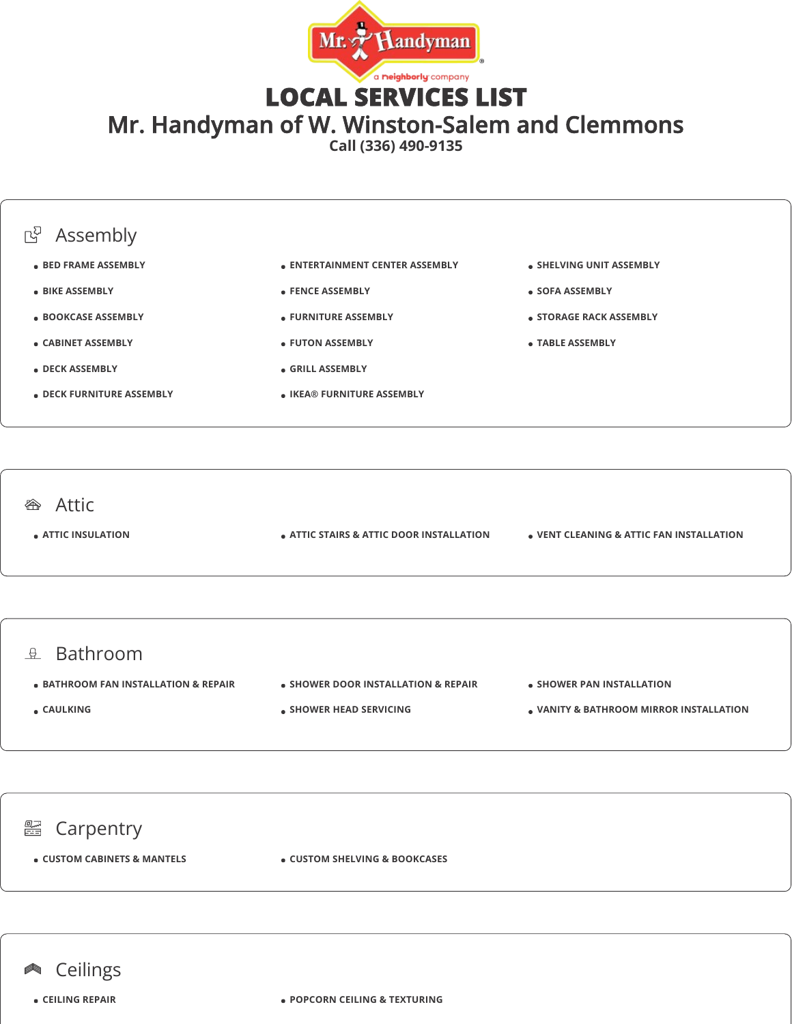

LOCAL SERVICES LIST

Mr. Handyman of W. Winston-Salem and Clemmons

**Call (336) 490-9135**

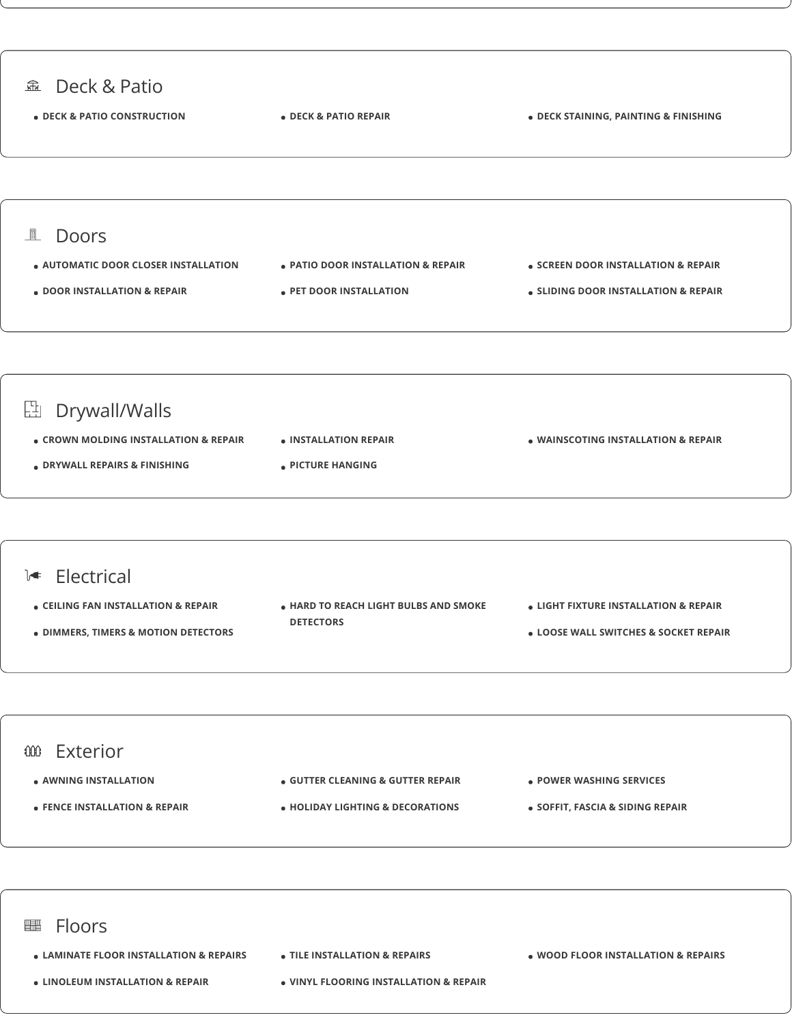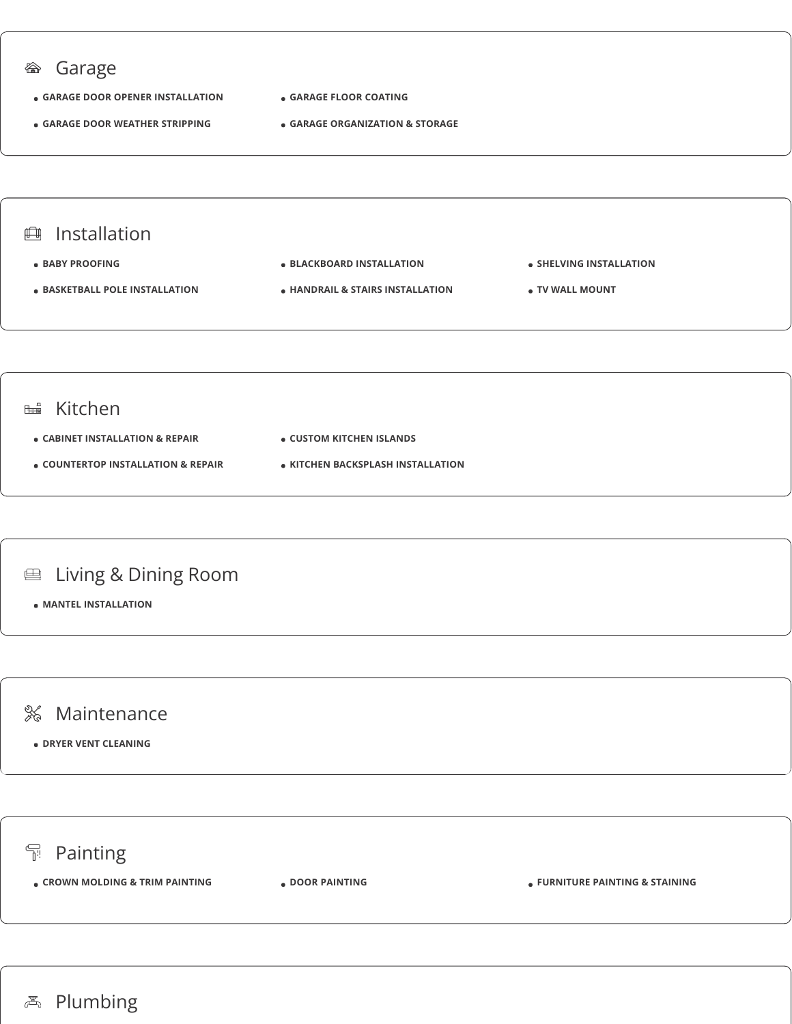

## **不** Plumbing